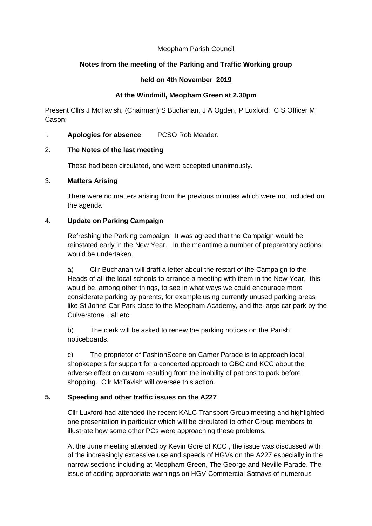### Meopham Parish Council

# **Notes from the meeting of the Parking and Traffic Working group**

#### **held on 4th November 2019**

### **At the Windmill, Meopham Green at 2.30pm**

Present Cllrs J McTavish, (Chairman) S Buchanan, J A Ogden, P Luxford; C S Officer M Cason;

# !. **Apologies for absence** PCSO Rob Meader.

## 2. **The Notes of the last meeting**

These had been circulated, and were accepted unanimously.

### 3. **Matters Arising**

There were no matters arising from the previous minutes which were not included on the agenda

# 4. **Update on Parking Campaign**

Refreshing the Parking campaign. It was agreed that the Campaign would be reinstated early in the New Year. In the meantime a number of preparatory actions would be undertaken.

a) Cllr Buchanan will draft a letter about the restart of the Campaign to the Heads of all the local schools to arrange a meeting with them in the New Year, this would be, among other things, to see in what ways we could encourage more considerate parking by parents, for example using currently unused parking areas like St Johns Car Park close to the Meopham Academy, and the large car park by the Culverstone Hall etc.

b) The clerk will be asked to renew the parking notices on the Parish noticeboards.

c) The proprietor of FashionScene on Camer Parade is to approach local shopkeepers for support for a concerted approach to GBC and KCC about the adverse effect on custom resulting from the inability of patrons to park before shopping. Cllr McTavish will oversee this action.

# **5. Speeding and other traffic issues on the A227**.

Cllr Luxford had attended the recent KALC Transport Group meeting and highlighted one presentation in particular which will be circulated to other Group members to illustrate how some other PCs were approaching these problems.

At the June meeting attended by Kevin Gore of KCC , the issue was discussed with of the increasingly excessive use and speeds of HGVs on the A227 especially in the narrow sections including at Meopham Green, The George and Neville Parade. The issue of adding appropriate warnings on HGV Commercial Satnavs of numerous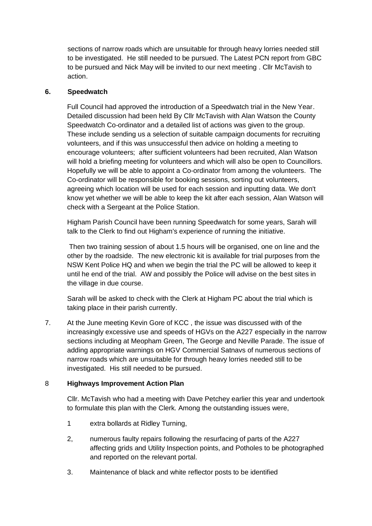sections of narrow roads which are unsuitable for through heavy lorries needed still to be investigated. He still needed to be pursued. The Latest PCN report from GBC to be pursued and Nick May will be invited to our next meeting . Cllr McTavish to action.

## **6. Speedwatch**

Full Council had approved the introduction of a Speedwatch trial in the New Year. Detailed discussion had been held By Cllr McTavish with Alan Watson the County Speedwatch Co-ordinator and a detailed list of actions was given to the group. These include sending us a selection of suitable campaign documents for recruiting volunteers, and if this was unsuccessful then advice on holding a meeting to encourage volunteers; after sufficient volunteers had been recruited, Alan Watson will hold a briefing meeting for volunteers and which will also be open to Councillors. Hopefully we will be able to appoint a Co-ordinator from among the volunteers. The Co-ordinator will be responsible for booking sessions, sorting out volunteers, agreeing which location will be used for each session and inputting data. We don't know yet whether we will be able to keep the kit after each session, Alan Watson will check with a Sergeant at the Police Station.

Higham Parish Council have been running Speedwatch for some years, Sarah will talk to the Clerk to find out Higham's experience of running the initiative.

Then two training session of about 1.5 hours will be organised, one on line and the other by the roadside. The new electronic kit is available for trial purposes from the NSW Kent Police HQ and when we begin the trial the PC will be allowed to keep it until he end of the trial. AW and possibly the Police will advise on the best sites in the village in due course.

Sarah will be asked to check with the Clerk at Higham PC about the trial which is taking place in their parish currently.

7. At the June meeting Kevin Gore of KCC , the issue was discussed with of the increasingly excessive use and speeds of HGVs on the A227 especially in the narrow sections including at Meopham Green, The George and Neville Parade. The issue of adding appropriate warnings on HGV Commercial Satnavs of numerous sections of narrow roads which are unsuitable for through heavy lorries needed still to be investigated. His still needed to be pursued.

### 8 **Highways Improvement Action Plan**

Cllr. McTavish who had a meeting with Dave Petchey earlier this year and undertook to formulate this plan with the Clerk. Among the outstanding issues were,

- 1 extra bollards at Ridley Turning,
- 2, numerous faulty repairs following the resurfacing of parts of the A227 affecting grids and Utility Inspection points, and Potholes to be photographed and reported on the relevant portal.
- 3. Maintenance of black and white reflector posts to be identified